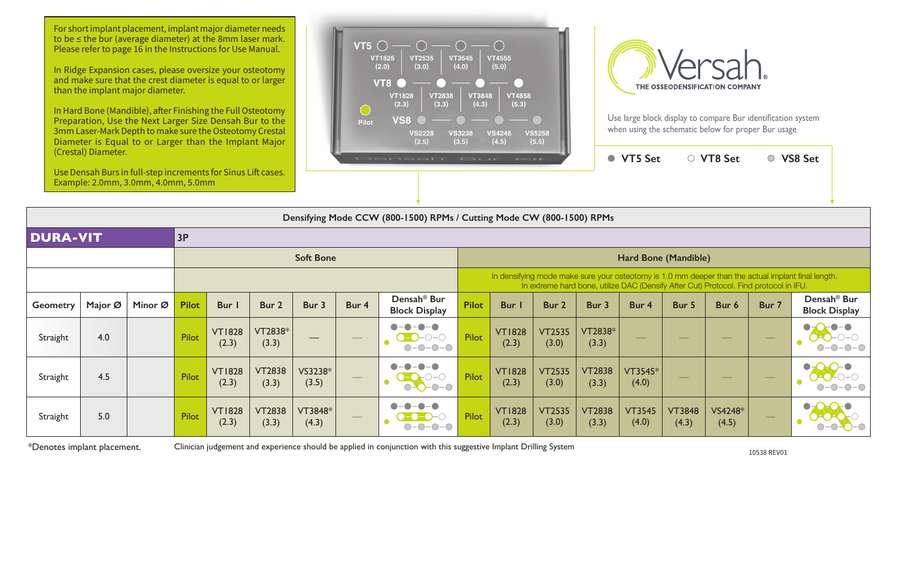Use large block display to compare Bur identification system when using the schematic below for proper Bur usage

|                 | (Crestal) Diameter.<br>Use Densah Burs in full-step increments for Sinus Lift cases.<br>Example: 2.0mm, 3.0mm, 4.0mm, 5.0mm |         |              |                        |                        |                  |                   | Densah' Bur                                     |                                                                                                                                                                                             | $I \leq t$             |                        |                        | ● VT5 Set              |                        | ○ VT8 Set        |                                 | ○ VS8 Set                                       |  |  |  |  |
|-----------------|-----------------------------------------------------------------------------------------------------------------------------|---------|--------------|------------------------|------------------------|------------------|-------------------|-------------------------------------------------|---------------------------------------------------------------------------------------------------------------------------------------------------------------------------------------------|------------------------|------------------------|------------------------|------------------------|------------------------|------------------|---------------------------------|-------------------------------------------------|--|--|--|--|
|                 | Densifying Mode CCW (800-1500) RPMs / Cutting Mode CW (800-1500) RPMs                                                       |         |              |                        |                        |                  |                   |                                                 |                                                                                                                                                                                             |                        |                        |                        |                        |                        |                  |                                 |                                                 |  |  |  |  |
| <b>DURA-VIT</b> |                                                                                                                             |         | 3P           |                        |                        |                  |                   |                                                 |                                                                                                                                                                                             |                        |                        |                        |                        |                        |                  |                                 |                                                 |  |  |  |  |
|                 |                                                                                                                             |         |              | <b>Soft Bone</b>       |                        |                  |                   |                                                 |                                                                                                                                                                                             |                        | Hard Bone (Mandible)   |                        |                        |                        |                  |                                 |                                                 |  |  |  |  |
|                 |                                                                                                                             |         |              |                        |                        |                  |                   |                                                 | In densifying mode make sure your osteotomy is 1.0 mm deeper than the actual implant final length.<br>In extreme hard bone, utilize DAC (Densify After Cut) Protocol. Find protocol in IFU. |                        |                        |                        |                        |                        |                  |                                 |                                                 |  |  |  |  |
| <b>Geometry</b> | Major Ø                                                                                                                     | Minor Ø | <b>Pilot</b> | Bur I                  | Bur 2                  | Bur 3            | Bur 4             | Densah <sup>®</sup> Bur<br><b>Block Display</b> | <b>Pilot</b>                                                                                                                                                                                | <b>Bur</b> I           | Bur 2                  | Bur 3                  | Bur 4                  | Bur 5                  | Bur 6            | Bur 7                           | Densah <sup>®</sup> Bur<br><b>Block Display</b> |  |  |  |  |
| Straight        | 4.0                                                                                                                         |         | <b>Pilot</b> | <b>VT1828</b><br>(2.3) | VT2838*<br>(3.3)       |                  |                   | $\bullet$ -O-O-O<br>$\bullet$<br>$O-O-O-O$      | Pilot                                                                                                                                                                                       | <b>VT1828</b><br>(2.3) | <b>VT2535</b><br>(3.0) | VT2838*<br>(3.3)       |                        |                        |                  |                                 | $\bullet$                                       |  |  |  |  |
| Straight        | 4.5                                                                                                                         |         | <b>Pilot</b> | <b>VT1828</b><br>(2.3) | <b>VT2838</b><br>(3.3) | VS3238*<br>(3.5) |                   | $O-O-O-O$                                       | Pilot                                                                                                                                                                                       | <b>VT1828</b><br>(2.3) | <b>VT2535</b><br>(3.0) | <b>VT2838</b><br>(3.3) | VT3545*<br>(4.0)       |                        |                  |                                 |                                                 |  |  |  |  |
| Straight        | 5.0                                                                                                                         |         | <b>Pilot</b> | <b>VT1828</b><br>(2.3) | <b>VT2838</b><br>(3.3) | VT3848*<br>(4.3) | $\hspace{0.05cm}$ |                                                 | Pilot                                                                                                                                                                                       | <b>VT1828</b><br>(2.3) | <b>VT2535</b><br>(3.0) | <b>VT2838</b><br>(3.3) | <b>VT3545</b><br>(4.0) | <b>VT3848</b><br>(4.3) | VS4248*<br>(4.5) | $\hspace{0.1cm}-\hspace{0.1cm}$ |                                                 |  |  |  |  |

\*Denotes implant placement. 10538 REV01 Clinician judgement and experience should be applied in conjunction with this suggestive Implant Drilling System

For short implant placement, implant major diameter needs to be ≤ the bur (average diameter) at the 8mm laser mark. Please refer to page 16 in the Instructions for Use Manual.

In Ridge Expansion cases, please oversize your osteotomy and make sure that the crest diameter is equal to or larger than the implant major diameter.

In Hard Bone (Mandible), after Finishing the Full Osteotomy Preparation, Use the Next Larger Size Densah Bur to the 3mm Laser-Mark Depth to make sure the Osteotomy Crestal Diameter is Equal to or Larger than the Implant Major (Crestal) Diameter.



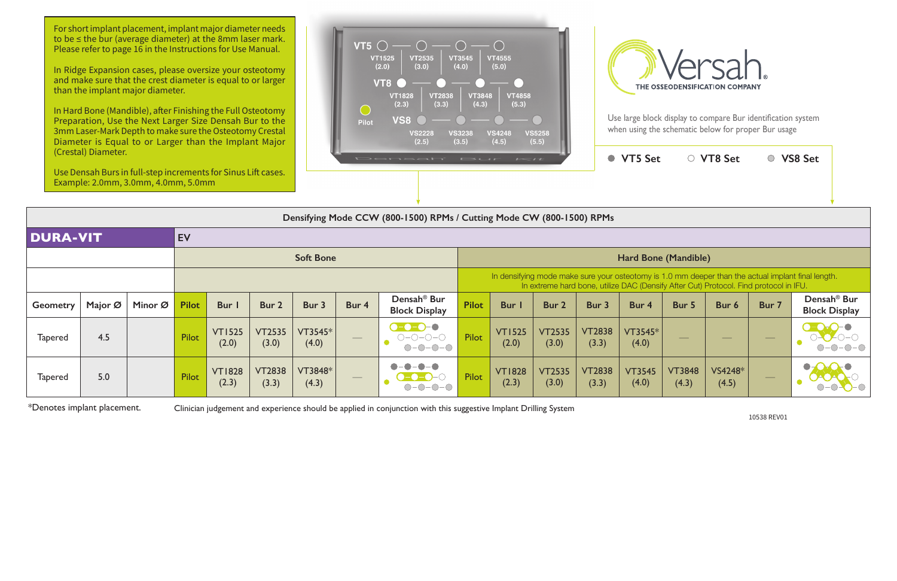Use large block display to compare Bur identification system when using the schematic below for proper Bur usage

In Hard Bone (Mandible), after Finishing the Full Osteotomy Preparation, Use the Next Larger Size Densah Bur to the 3mm Laser-Mark Depth to make sure the Osteotomy Crestal Diameter is Equal to or Larger than the Implant Major

|                  | (Crestal) Diameter.<br>Use Densah Burs in full-step increments for Sinus Lift cases.<br>Example: 2.0mm, 3.0mm, 4.0mm, 5.0mm |         |              |                        |                        | Densah' Bur<br>1 |                          |                                                                       |                      |                        |                        |                                                                                                                                                                                             | ● VT5 Set              |                                | ○ VT8 Set                   |                                | ○ VS8 Set                                       |  |  |
|------------------|-----------------------------------------------------------------------------------------------------------------------------|---------|--------------|------------------------|------------------------|------------------|--------------------------|-----------------------------------------------------------------------|----------------------|------------------------|------------------------|---------------------------------------------------------------------------------------------------------------------------------------------------------------------------------------------|------------------------|--------------------------------|-----------------------------|--------------------------------|-------------------------------------------------|--|--|
|                  |                                                                                                                             |         |              |                        |                        |                  |                          | Densifying Mode CCW (800-1500) RPMs / Cutting Mode CW (800-1500) RPMs |                      |                        |                        |                                                                                                                                                                                             |                        |                                |                             |                                |                                                 |  |  |
| <b>DURA-VIT</b>  |                                                                                                                             |         | EV           |                        |                        |                  |                          |                                                                       |                      |                        |                        |                                                                                                                                                                                             |                        |                                |                             |                                |                                                 |  |  |
| <b>Soft Bone</b> |                                                                                                                             |         |              |                        |                        |                  |                          |                                                                       | Hard Bone (Mandible) |                        |                        |                                                                                                                                                                                             |                        |                                |                             |                                |                                                 |  |  |
|                  |                                                                                                                             |         |              |                        |                        |                  |                          |                                                                       |                      |                        |                        | In densifying mode make sure your osteotomy is 1.0 mm deeper than the actual implant final length.<br>In extreme hard bone, utilize DAC (Densify After Cut) Protocol. Find protocol in IFU. |                        |                                |                             |                                |                                                 |  |  |
| <b>Geometry</b>  | Major Ø                                                                                                                     | Minor Ø | <b>Pilot</b> | <b>Bur</b>             | Bur 2                  | Bur 3            | Bur 4                    | Densah <sup>®</sup> Bur<br><b>Block Display</b>                       | <b>Pilot</b>         | Bur                    | Bur 2                  | Bur 3                                                                                                                                                                                       | Bur 4                  | Bur 5                          | Bur 6                       | Bur 7                          | Densah <sup>®</sup> Bur<br><b>Block Display</b> |  |  |
| <b>Tapered</b>   | 4.5                                                                                                                         |         | Pilot        | <b>VT1525</b><br>(2.0) | <b>VT2535</b><br>(3.0) | VT3545*<br>(4.0) | $\hspace{0.05cm}$        | $-0-0-0$<br>$O-O-O-O$<br>$O-O-O-O$                                    | Pilot                | <b>VT1525</b><br>(2.0) | <b>VT2535</b><br>(3.0) | <b>VT2838</b><br>(3.3)                                                                                                                                                                      | VT3545*<br>(4.0)       | $\overbrace{\hspace{25mm}}^{}$ | $\overbrace{\hspace{25mm}}$ | $\hspace{0.1cm}$               |                                                 |  |  |
| <b>Tapered</b>   | 5.0                                                                                                                         |         | Pilot        | <b>VT1828</b><br>(2.3) | <b>VT2838</b><br>(3.3) | VT3848*<br>(4.3) | $\overline{\phantom{a}}$ |                                                                       | Pilot                | <b>VT1828</b><br>(2.3) | <b>VT2535</b><br>(3.0) | <b>VT2838</b><br>(3.3)                                                                                                                                                                      | <b>VT3545</b><br>(4.0) | <b>VT3848</b><br>(4.3)         | VS4248*<br>(4.5)            | $\overbrace{\hspace{25mm}}^{}$ |                                                 |  |  |

\*Denotes implant placement.

10538 REV01

Clinician judgement and experience should be applied in conjunction with this suggestive Implant Drilling System

For short implant placement, implant major diameter needs to be ≤ the bur (average diameter) at the 8mm laser mark. Please refer to page 16 in the Instructions for Use Manual.

In Ridge Expansion cases, please oversize your osteotomy and make sure that the crest diameter is equal to or larger than the implant major diameter.



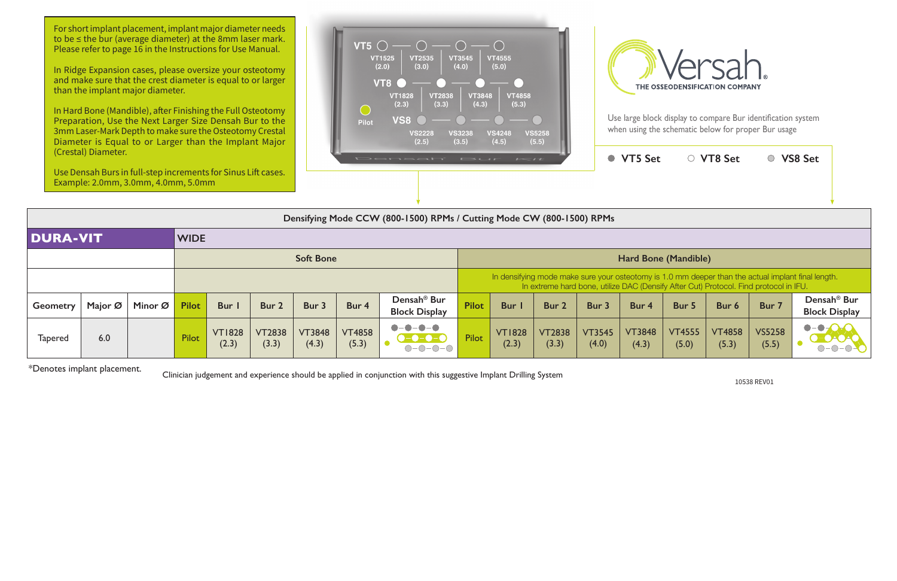In Hard Bone (Mandible), after Finishing the Full Osteotomy Preparation, Use the Next Larger Size Densah Bur to the 3mm Laser-Mark Depth to make sure the Osteotomy Crestal Diameter is Equal to or Larger than the Implant Major





Use large block display to compare Bur identification system when using the schematic below for proper Bur usage

\*Denotes implant placement.

10538 REV01

| (Crestal) Diameter.<br>○ VS8 Set<br>● VT5 Set<br>○ VT8 Set<br>Densah' Bur Kit<br>Use Densah Burs in full-step increments for Sinus Lift cases.<br>Example: 2.0mm, 3.0mm, 4.0mm, 5.0mm<br>Densifying Mode CCW (800-1500) RPMs / Cutting Mode CW (800-1500) RPMs<br><b>DURA-VIT</b><br><b>WIDE</b><br><b>Soft Bone</b><br>Hard Bone (Mandible)<br>In densifying mode make sure your osteotomy is 1.0 mm deeper than the actual implant final length.<br>In extreme hard bone, utilize DAC (Densify After Cut) Protocol. Find protocol in IFU.<br>Densah <sup>®</sup> Bur<br><b>Pilot</b><br>Bur 7<br><b>Pilot</b><br>Minor Ø<br>Bur I<br>Bur 3<br><b>Bur</b> I<br>Bur 2<br>Major $\varnothing$<br>Bur 2<br>Bur 4<br>Bur 3<br>Bur 4<br>Bur 5<br>Bur 6<br><b>Geometry</b><br><b>Block Display</b> |     |  |       |                        |                        |                        |                        |                                    |              |                        |                        |                        |                        |                        |                        |                        |                                                            |  |  |  |
|-----------------------------------------------------------------------------------------------------------------------------------------------------------------------------------------------------------------------------------------------------------------------------------------------------------------------------------------------------------------------------------------------------------------------------------------------------------------------------------------------------------------------------------------------------------------------------------------------------------------------------------------------------------------------------------------------------------------------------------------------------------------------------------------------|-----|--|-------|------------------------|------------------------|------------------------|------------------------|------------------------------------|--------------|------------------------|------------------------|------------------------|------------------------|------------------------|------------------------|------------------------|------------------------------------------------------------|--|--|--|
|                                                                                                                                                                                                                                                                                                                                                                                                                                                                                                                                                                                                                                                                                                                                                                                               |     |  |       |                        |                        |                        |                        |                                    |              |                        |                        |                        |                        |                        |                        |                        |                                                            |  |  |  |
|                                                                                                                                                                                                                                                                                                                                                                                                                                                                                                                                                                                                                                                                                                                                                                                               |     |  |       |                        |                        |                        |                        |                                    |              |                        |                        |                        |                        |                        |                        |                        |                                                            |  |  |  |
|                                                                                                                                                                                                                                                                                                                                                                                                                                                                                                                                                                                                                                                                                                                                                                                               |     |  |       |                        |                        |                        |                        |                                    |              |                        |                        |                        |                        |                        |                        |                        |                                                            |  |  |  |
|                                                                                                                                                                                                                                                                                                                                                                                                                                                                                                                                                                                                                                                                                                                                                                                               |     |  |       |                        |                        |                        |                        |                                    |              |                        |                        |                        |                        |                        |                        |                        | Densah <sup>®</sup> Bur<br><b>Block Display</b>            |  |  |  |
| <b>Tapered</b>                                                                                                                                                                                                                                                                                                                                                                                                                                                                                                                                                                                                                                                                                                                                                                                | 6.0 |  | Pilot | <b>VT1828</b><br>(2.3) | <b>VT2838</b><br>(3.3) | <b>VT3848</b><br>(4.3) | <b>VT4858</b><br>(5.3) | $\bullet$ - $\bullet$<br>$O-O-O-O$ | <b>Pilot</b> | <b>VT1828</b><br>(2.3) | <b>VT2838</b><br>(3.3) | <b>VT3545</b><br>(4.0) | <b>VT3848</b><br>(4.3) | <b>VT4555</b><br>(5.0) | <b>VT4858</b><br>(5.3) | <b>VS5258</b><br>(5.5) | $\bullet$ - $\bullet$ - $\bullet$ - $\bullet$<br>$O-O-O-O$ |  |  |  |

Clinician judgement and experience should be applied in conjunction with this suggestive Implant Drilling System

For short implant placement, implant major diameter needs to be ≤ the bur (average diameter) at the 8mm laser mark. Please refer to page 16 in the Instructions for Use Manual.

In Ridge Expansion cases, please oversize your osteotomy and make sure that the crest diameter is equal to or larger than the implant major diameter.